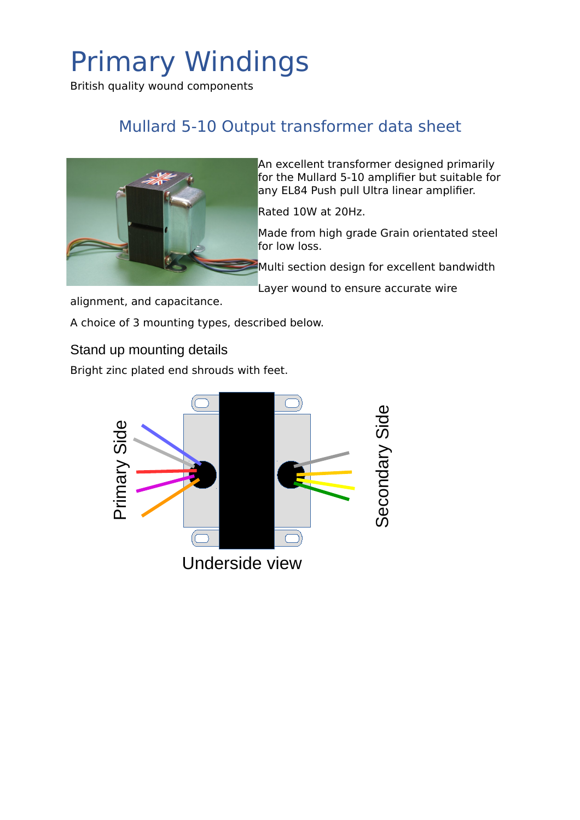British quality wound components

### Mullard 5-10 Output transformer data sheet



An excellent transformer designed primarily for the Mullard 5-10 amplifier but suitable for any EL84 Push pull Ultra linear amplifier.

Rated 10W at 20Hz.

Made from high grade Grain orientated steel for low loss.

Multi section design for excellent bandwidth

Layer wound to ensure accurate wire

alignment, and capacitance.

A choice of 3 mounting types, described below.

Stand up mounting details

Bright zinc plated end shrouds with feet.

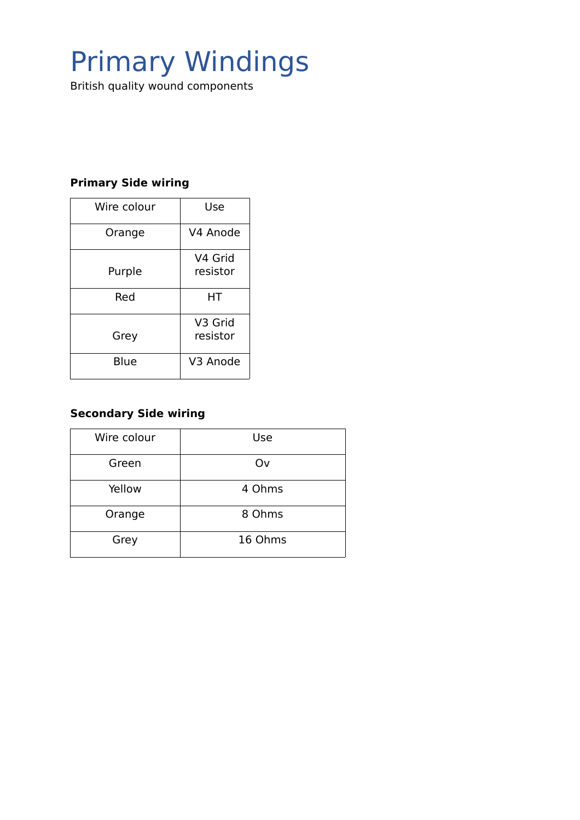British quality wound components

#### **Primary Side wiring**

| Wire colour | Use                 |
|-------------|---------------------|
| Orange      | V4 Anode            |
| Purple      | V4 Grid<br>resistor |
| Red         | нт                  |
| Grey        | V3 Grid<br>resistor |
| Blue        | V3 Anode            |

#### **Secondary Side wiring**

| Wire colour | <b>Use</b> |
|-------------|------------|
| Green       | Ov         |
| Yellow      | 4 Ohms     |
| Orange      | 8 Ohms     |
| Grey        | 16 Ohms    |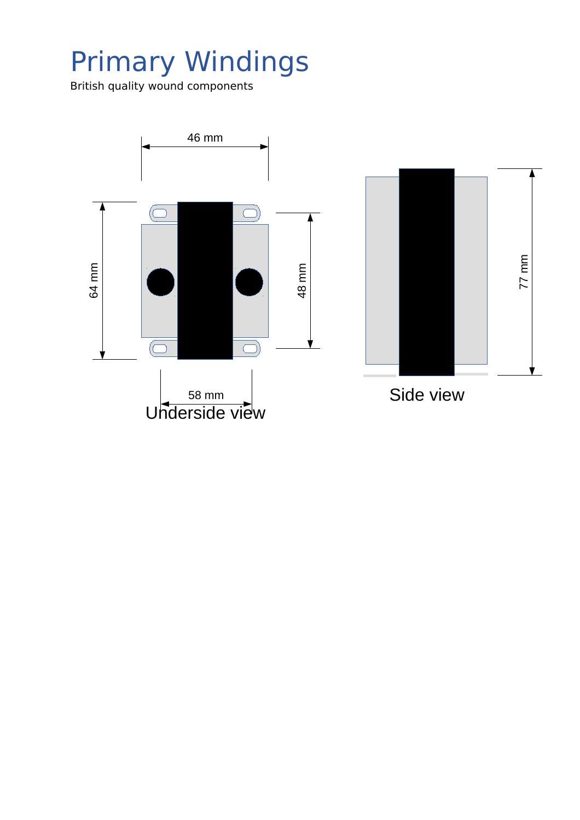British quality wound components

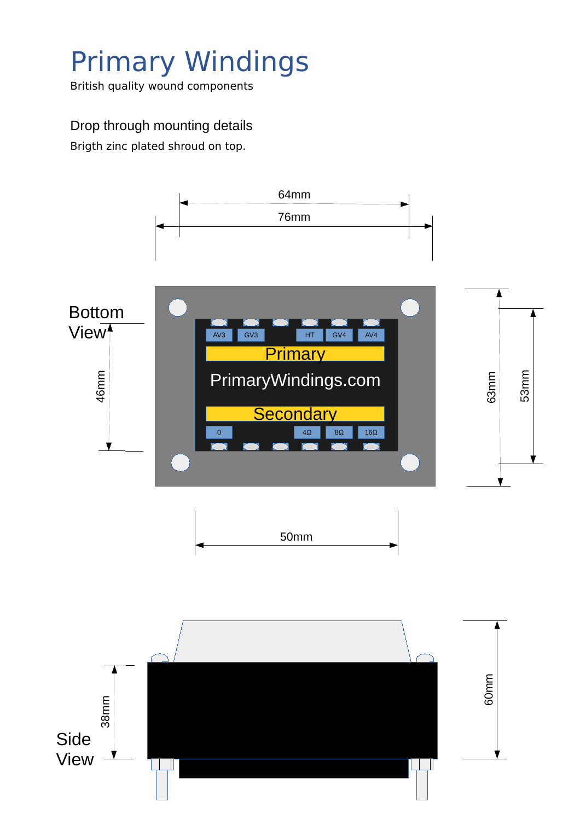British quality wound components

#### Drop through mounting details

Brigth zinc plated shroud on top.

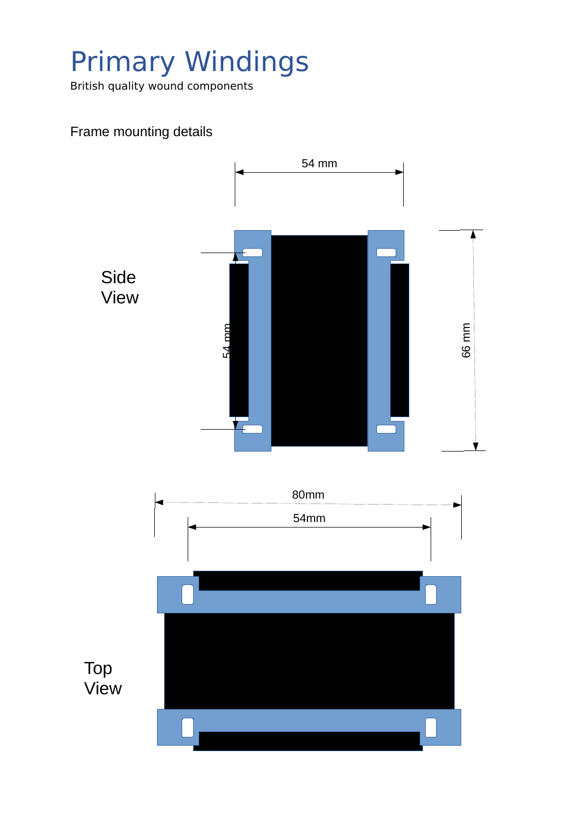British quality wound components

### Frame mounting details

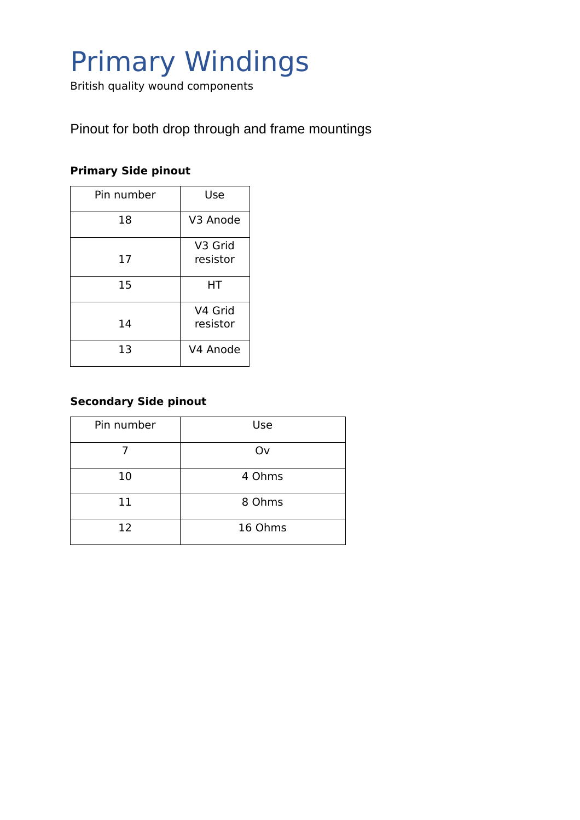British quality wound components

Pinout for both drop through and frame mountings

#### **Primary Side pinout**

| Pin number | Use                 |
|------------|---------------------|
| 18         | V3 Anode            |
| 17         | V3 Grid<br>resistor |
| 15         | HТ                  |
| 14         | V4 Grid<br>resistor |
| 13         | V4 Anode            |

#### **Secondary Side pinout**

| Pin number | Use     |
|------------|---------|
|            | Ov      |
| 10         | 4 Ohms  |
| 11         | 8 Ohms  |
| 12         | 16 Ohms |